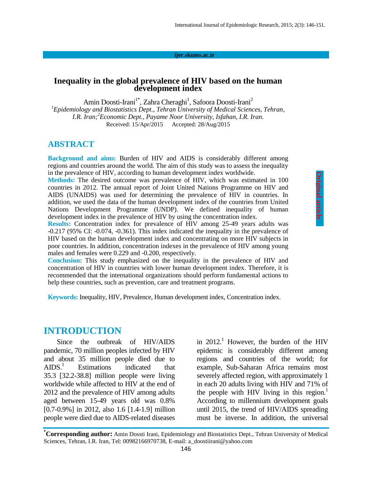#### **ijer.skums.ac.ir**

#### **Inequality in the global prevalence of HIV based on the human development index**

Amin Doosti-Irani<sup>1\*</sup>, Zahra Cheraghi<sup>1</sup>, Safoora Doosti-Irani<sup>2</sup> *<sup>1</sup>Epidemiology and Biostatistics Dept., Tehran University of Medical Sciences, Tehran, I.R. Iran; <sup>2</sup>Economic Dept., Payame Noor University, Isfahan, I.R. Iran.* Received: 15/Apr/2015 Accepted: 28/Aug/2015

### **ABSTRACT**

**Background and aims:** Burden of HIV and AIDS is considerably different among regions and countries around the world. The aim of this study was to assess the inequality in the prevalence of HIV, according to human development index worldwide.

**Methods:** The desired outcome was prevalence of HIV, which was estimated in 100 countries in 2012. The annual report of Joint United Nations Programme on HIV and AIDS (UNAIDS) was used for determining the prevalence of HIV in countries. In addition, we used the data of the human development index of the countries from United Nations Development Programme (UNDP). We defined inequality of human development index in the prevalence of HIV by using the concentration index.

**Results:** Concentration index for prevalence of HIV among 25-49 years adults was -0.217 (95% CI: -0.074, -0.361). This index indicated the inequality in the prevalence of HIV based on the human development index and concentrating on more HIV subjects in poor countries. In addition, concentration indexes in the prevalence of HIV among young males and females were 0.229 and -0.200, respectively.

**Conclusion:** This study emphasized on the inequality in the prevalence of HIV and concentration of HIV in countries with lower human development index. Therefore, it is recommended that the international organizations should perform fundamental actions to help these countries, such as prevention, care and treatment programs.

**Keywords:** Inequality, HIV, Prevalence, Human development index, Concentration index.

### **INTRODUCTION**

Since the outbreak of HIV/AIDS pandemic, 70 million peoples infected by HIV and about 35 million people died due to  $AIDS.$ <sup>1</sup> Estimations indicated that 35.3 [32.2-38.8] million people were living worldwide while affected to HIV at the end of 2012 and the prevalence of HIV among adults aged between 15-49 years old was 0.8% [0.7-0.9%] in 2012, also 1.6 [1.4-1.9] million people were died due to AIDS-related diseases

in 2012.<sup>1</sup> However, the burden of the HIV epidemic is considerably different among regions and countries of the world; for example, Sub-Saharan Africa remains most severely affected region, with approximately 1 in each 20 adults living with HIV and 71% of the people with HIV living in this region.<sup>1</sup> According to millennium development goals until 2015, the trend of HIV/AIDS spreading must be inverse. In addition, the universal

**\*Corresponding author:** Amin Dossti Irani, Epidemiology and Biostatistics Dept., Tehran University of Medical Sciences, Tehran, I.R. Iran, Tel: 00982166970738, E-mail: a\_doostiirani@yahoo.com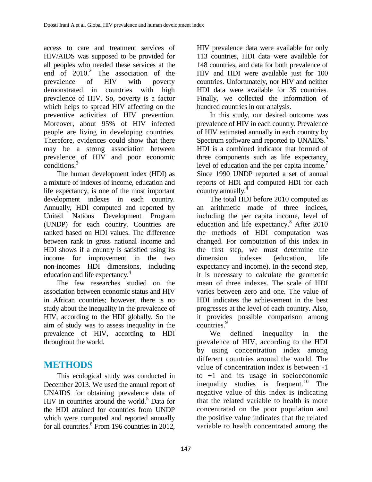access to care and treatment services of HIV/AIDS was supposed to be provided for all peoples who needed these services at the end of 2010.<sup>2</sup> The association of the prevalence of HIV with poverty demonstrated in countries with high prevalence of HIV. So, poverty is a factor which helps to spread HIV affecting on the preventive activities of HIV prevention. Moreover, about 95% of HIV infected people are living in developing countries. Therefore, evidences could show that there may be a strong association between prevalence of HIV and poor economic conditions.<sup>3</sup>

The human development index (HDI) as a mixture of indexes of income, education and life expectancy, is one of the most important development indexes in each country. Annually, HDI computed and reported by United Nations Development Program (UNDP) for each country. Countries are ranked based on HDI values. The difference between rank in gross national income and HDI shows if a country is satisfied using its income for improvement in the two non-incomes HDI dimensions, including education and life expectancy.<sup>4</sup>

The few researches studied on the association between economic status and HIV in African countries; however, there is no study about the inequality in the prevalence of HIV, according to the HDI globally. So the aim of study was to assess inequality in the prevalence of HIV, according to HDI throughout the world.

## **METHODS**

This ecological study was conducted in December 2013. We used the annual report of UNAIDS for obtaining prevalence data of HIV in countries around the world.<sup>5</sup> Data for the HDI attained for countries from UNDP which were computed and reported annually for all countries.<sup>6</sup> From 196 countries in 2012, HIV prevalence data were available for only 113 countries, HDI data were available for 148 countries, and data for both prevalence of HIV and HDI were available just for 100 countries. Unfortunately, nor HIV and neither HDI data were available for 35 countries. Finally, we collected the information of hundred countries in our analysis.

In this study, our desired outcome was prevalence of HIV in each country. Prevalence of HIV estimated annually in each country by Spectrum software and reported to UNAIDS.<sup>5</sup> HDI is a combined indicator that formed of three components such as life expectancy, level of education and the per capita income.<sup>7</sup> Since 1990 UNDP reported a set of annual reports of HDI and computed HDI for each country annually.<sup>4</sup>

The total HDI before 2010 computed as an arithmetic made of three indices, including the per capita income, level of education and life expectancy.<sup>8</sup> After 2010 the methods of HDI computation was changed. For computation of this index in the first step, we must determine the dimension indexes (education, life expectancy and income). In the second step, it is necessary to calculate the geometric mean of three indexes. The scale of HDI varies between zero and one. The value of HDI indicates the achievement in the best progresses at the level of each country. Also, it provides possible comparison among countries.<sup>9</sup>

We defined inequality in the prevalence of HIV, according to the HDI by using concentration index among different countries around the world. The value of concentration index is between -1 to +1 and its usage in socioeconomic inequality studies is frequent.<sup>10</sup> The negative value of this index is indicating that the related variable to health is more concentrated on the poor population and the positive value indicates that the related variable to health concentrated among the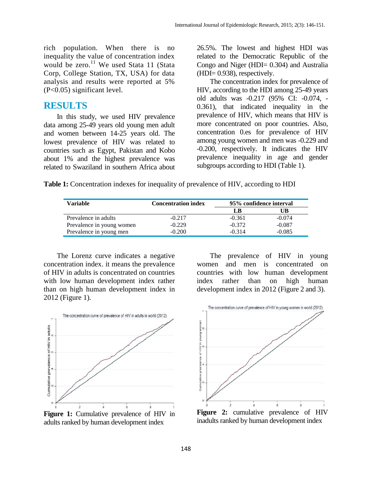rich population. When there is no inequality the value of concentration index would be zero.<sup>11</sup> We used Stata 11 (Stata Corp, College Station, TX, USA) for data analysis and results were reported at 5% (P<0.05) significant level.

### **RESULTS**

In this study, we used HIV prevalence data among 25-49 years old young men adult and women between 14-25 years old. The lowest prevalence of HIV was related to countries such as Egypt, Pakistan and Kobo about 1% and the highest prevalence was related to Swaziland in southern Africa about

26.5%. The lowest and highest HDI was related to the Democratic Republic of the Congo and Niger (HDI= 0.304) and Australia (HDI= 0.938), respectively.

The concentration index for prevalence of HIV, according to the HDI among 25-49 years old adults was -0.217 (95% CI: -0.074, - 0.361), that indicated inequality in the prevalence of HIV, which means that HIV is more concentrated on poor countries. Also, concentration 0.es for prevalence of HIV among young women and men was -0.229 and -0.200, respectively. It indicates the HIV prevalence inequality in age and gender subgroups according to HDI (Table 1).

**Table 1:** Concentration indexes for inequality of prevalence of HIV, according to HDI

| <b>Variable</b>           | <b>Concentration index</b> | 95% confidence interval |          |
|---------------------------|----------------------------|-------------------------|----------|
|                           |                            | LB                      | UB       |
| Prevalence in adults      | $-0.217$                   | $-0.361$                | $-0.074$ |
| Prevalence in young women | $-0.229$                   | $-0.372$                | $-0.087$ |
| Prevalence in young men   | $-0.200$                   | $-0.314$                | $-0.085$ |

The Lorenz curve indicates a negative concentration index. it means the prevalence of HIV in adults is concentrated on countries with low human development index rather than on high human development index in 2012 (Figure 1).



**Figure 1:** Cumulative prevalence of HIV in adults ranked by human development index

The prevalence of HIV in young women and men is concentrated on countries with low human development index rather than on high human development index in 2012 (Figure 2 and 3).



**Figure 2:** cumulative prevalence of HIV inadults ranked by human development index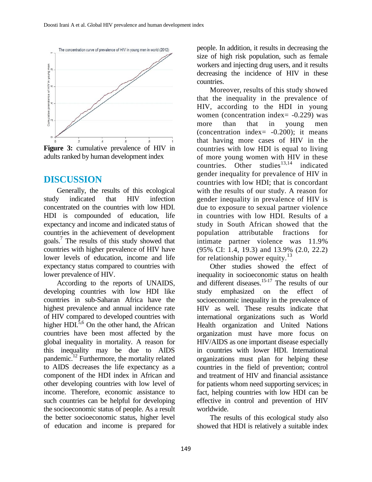

### **DISCUSSION**

Generally, the results of this ecological study indicated that HIV infection concentrated on the countries with low HDI. HDI is compounded of education, life expectancy and income and indicated status of countries in the achievement of development goals.<sup>7</sup> The results of this study showed that countries with higher prevalence of HIV have lower levels of education, income and life expectancy status compared to countries with lower prevalence of HIV.

According to the reports of UNAIDS, developing countries with low HDI like countries in sub-Saharan Africa have the highest prevalence and annual incidence rate of HIV compared to developed countries with higher HDI $^{5,6}$  On the other hand, the African countries have been most affected by the global inequality in mortality. A reason for this inequality may be due to AIDS pandemic.<sup>12</sup> Furthermore, the mortality related to AIDS decreases the life expectancy as a component of the HDI index in African and other developing countries with low level of income. Therefore, economic assistance to such countries can be helpful for developing the socioeconomic status of people. As a result the better socioeconomic status, higher level of education and income is prepared for

people. In addition, it results in decreasing the size of high risk population, such as female workers and injecting drug users, and it results decreasing the incidence of HIV in these countries.

Moreover, results of this study showed that the inequality in the prevalence of HIV, according to the HDI in young women (concentration index =  $-0.229$ ) was more than that in young men (concentration index=  $-0.200$ ); it means that having more cases of HIV in the countries with low HDI is equal to living of more young women with HIV in these countries. Other studies  $13,14$  indicated gender inequality for prevalence of HIV in countries with low HDI; that is concordant with the results of our study. A reason for gender inequality in prevalence of HIV is due to exposure to sexual partner violence in countries with low HDI. Results of a study in South African showed that the population attributable fractions for intimate partner violence was 11.9% (95% CI: 1.4, 19.3) and 13.9% (2.0, 22.2) for relationship power equity.<sup>13</sup>

Other studies showed the effect of inequality in socioeconomic status on health and different diseases.15-17 The results of our study emphasized on the effect of socioeconomic inequality in the prevalence of HIV as well. These results indicate that international organizations such as World Health organization and United Nations organization must have more focus on HIV/AIDS as one important disease especially in countries with lower HDI. International organizations must plan for helping these countries in the field of prevention; control and treatment of HIV and financial assistance for patients whom need supporting services; in fact, helping countries with low HDI can be effective in control and prevention of HIV worldwide.

The results of this ecological study also showed that HDI is relatively a suitable index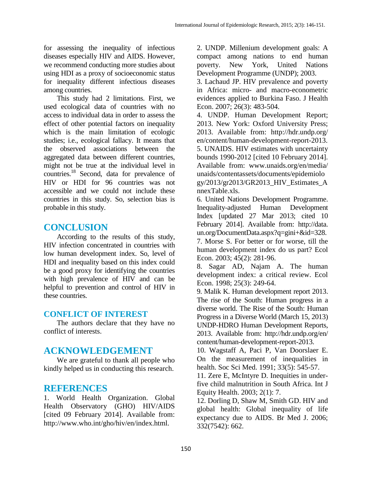for assessing the inequality of infectious diseases especially HIV and AIDS. However, we recommend conducting more studies about using HDI as a proxy of socioeconomic status for inequality different infectious diseases among countries.

This study had 2 limitations. First, we used ecological data of countries with no access to individual data in order to assess the effect of other potential factors on inequality which is the main limitation of ecologic studies; i.e., ecological fallacy. It means that the observed associations between the aggregated data between different countries, might not be true at the individual level in countries.<sup>18</sup> Second, data for prevalence of HIV or HDI for 96 countries was not accessible and we could not include these countries in this study. So, selection bias is probable in this study.

## **CONCLUSION**

According to the results of this study, HIV infection concentrated in countries with low human development index. So, level of HDI and inequality based on this index could be a good proxy for identifying the countries with high prevalence of HIV and can be helpful to prevention and control of HIV in these countries.

## **CONFLICT OF INTEREST**

The authors declare that they have no conflict of interests.

# **ACKNOWLEDGEMENT**

We are grateful to thank all people who kindly helped us in conducting this research.

## **REFERENCES**

1. World Health Organization. Global Health Observatory (GHO) HIV/AIDS [cited 09 February 2014]. Available from: http://www.who.int/gho/hiv/en/index.html.

2. UNDP. Millenium development goals: A compact among nations to end human poverty. New York, United Nations Development Programme (UNDP); 2003.

3. Lachaud JP. HIV prevalence and poverty in Africa: micro- and macro-econometric evidences applied to Burkina Faso. J Health Econ. 2007; 26(3): 483-504.

4. UNDP. Human Development Report; 2013. New York: Oxford University Press; 2013. Available from: http://hdr.undp.org/ en/content/human-development-report-2013. 5. UNAIDS. HIV estimates with uncertainty bounds 1990-2012 [cited 10 February 2014]. Available from: www.unaids.org/en/media/ unaids/contentassets/documents/epidemiolo gy/2013/gr2013/GR2013\_HIV\_Estimates\_A nnexTable.xls.

6. United Nations Development Programme. Inequality-adjusted Human Development Index [updated 27 Mar 2013; cited 10 February 2014]. Available from: http://data. un.org/DocumentData.aspx?q=gini+&id=328. 7. Morse S. For better or for worse, till the

human development index do us part? Ecol Econ. 2003; 45(2): 281-96.

8. Sagar AD, Najam A. The human development index: a critical review. Ecol Econ. 1998; 25(3): 249-64.

9. Malik K. Human development report 2013. The rise of the South: Human progress in a diverse world. The Rise of the South: Human Progress in a Diverse World (March 15, 2013) UNDP-HDRO Human Development Reports, 2013. Available from: http://hdr.undp.org/en/ content/human-development-report-2013.

10. Wagstaff A, Paci P, Van Doorslaer E. On the measurement of inequalities in health. Soc Sci Med. 1991; 33(5): 545-57.

11. Zere E, McIntyre D. Inequities in underfive child malnutrition in South Africa. Int J Equity Health. 2003; 2(1): 7.

12. Dorling D, Shaw M, Smith GD. HIV and global health: Global inequality of life expectancy due to AIDS. Br Med J. 2006; 332(7542): 662.